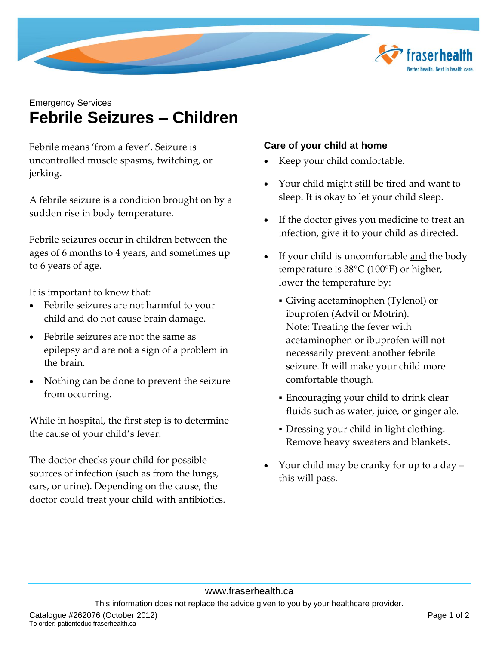

# Emergency Services **Febrile Seizures – Children**

Febrile means 'from a fever'. Seizure is uncontrolled muscle spasms, twitching, or jerking.

A febrile seizure is a condition brought on by a sudden rise in body temperature.

Febrile seizures occur in children between the ages of 6 months to 4 years, and sometimes up to 6 years of age.

It is important to know that:

- Febrile seizures are not harmful to your child and do not cause brain damage.
- Febrile seizures are not the same as epilepsy and are not a sign of a problem in the brain.
- Nothing can be done to prevent the seizure from occurring.

While in hospital, the first step is to determine the cause of your child's fever.

The doctor checks your child for possible sources of infection (such as from the lungs, ears, or urine). Depending on the cause, the doctor could treat your child with antibiotics.

## **Care of your child at home**

- Keep your child comfortable.
- Your child might still be tired and want to sleep. It is okay to let your child sleep.
- If the doctor gives you medicine to treat an infection, give it to your child as directed.
- If your child is uncomfortable <u>and</u> the body temperature is  $38^{\circ}$ C (100 $^{\circ}$ F) or higher, lower the temperature by:
	- Giving acetaminophen (Tylenol) or ibuprofen (Advil or Motrin). Note: Treating the fever with acetaminophen or ibuprofen will not necessarily prevent another febrile seizure. It will make your child more comfortable though.
	- Encouraging your child to drink clear fluids such as water, juice, or ginger ale.
	- Dressing your child in light clothing. Remove heavy sweaters and blankets.
- Your child may be cranky for up to a day this will pass.